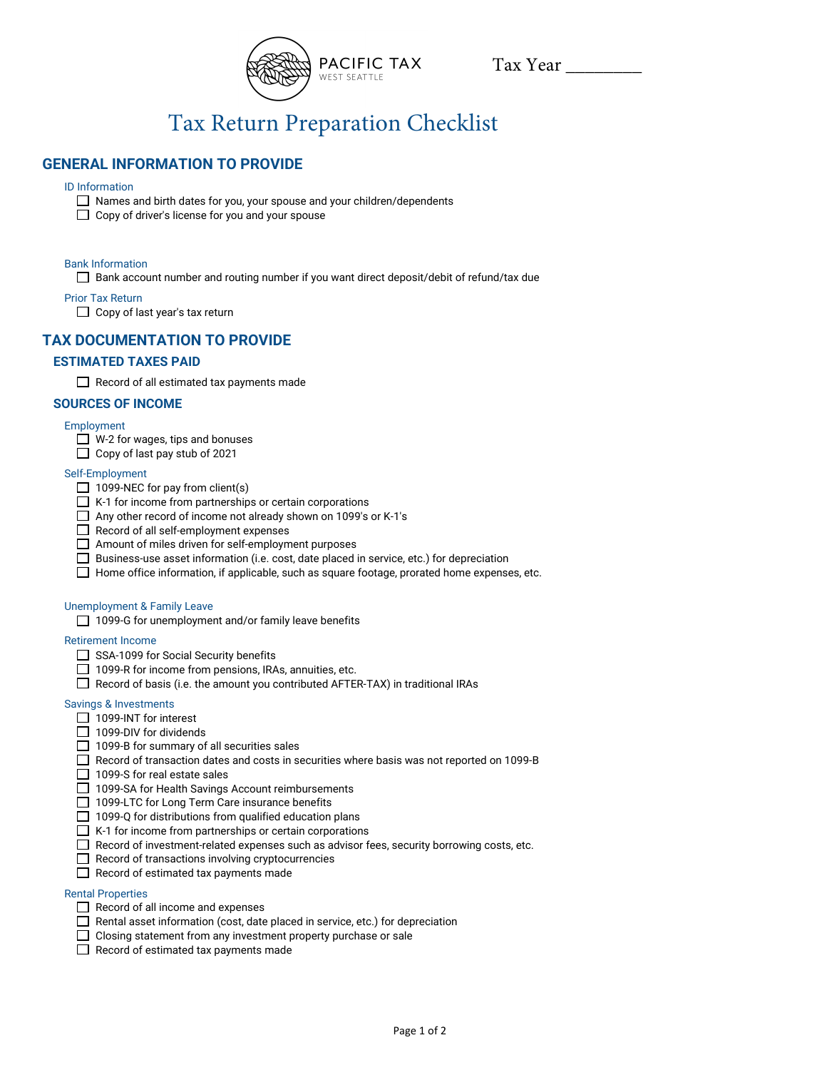

Tax Year \_\_\_\_\_\_\_\_

# Tax Return Preparation Checklist

# **GENERAL INFORMATION TO PROVIDE**

# ID Information

- Names and birth dates for you, your spouse and your children/dependents
- $\Box$  Copy of driver's license for you and your spouse

# Bank Information

□ Bank account number and routing number if you want direct deposit/debit of refund/tax due

Prior Tax Return

Copy of last year's tax return

# **TAX DOCUMENTATION TO PROVIDE**

# **ESTIMATED TAXES PAID**

Record of all estimated tax payments made

# **SOURCES OF INCOME**

# Employment

- $\Box$  W-2 for wages, tips and bonuses
- $\Box$  Copy of last pay stub of 2021

#### Self-Employment

- $\Box$  1099-NEC for pay from client(s)
- $\Box$  K-1 for income from partnerships or certain corporations
- □ Any other record of income not already shown on 1099's or K-1's
- $\Box$  Record of all self-employment expenses
- Amount of miles driven for self-employment purposes
- Business-use asset information (i.e. cost, date placed in service, etc.) for depreciation
- $\Box$  Home office information, if applicable, such as square footage, prorated home expenses, etc.

#### Unemployment & Family Leave

□ 1099-G for unemployment and/or family leave benefits

#### Retirement Income

- SSA-1099 for Social Security benefits
- □ 1099-R for income from pensions, IRAs, annuities, etc.
- $\Box$  Record of basis (i.e. the amount you contributed AFTER-TAX) in traditional IRAs

#### Savings & Investments

- □ 1099-INT for interest
- $\Box$  1099-DIV for dividends
- $\Box$  1099-B for summary of all securities sales
- $\Box$  Record of transaction dates and costs in securities where basis was not reported on 1099-B
- $\Box$  1099-S for real estate sales
- □ 1099-SA for Health Savings Account reimbursements
- $\Box$  1099-LTC for Long Term Care insurance benefits
- $\Box$  1099-Q for distributions from qualified education plans
- $\Box$  K-1 for income from partnerships or certain corporations
- $\Box$  Record of investment-related expenses such as advisor fees, security borrowing costs, etc.
- $\Box$  Record of transactions involving cryptocurrencies
- $\Box$  Record of estimated tax payments made

# Rental Properties

- $\Box$  Record of all income and expenses
- $\Box$  Rental asset information (cost, date placed in service, etc.) for depreciation
- Closing statement from any investment property purchase or sale
- $\Box$  Record of estimated tax payments made